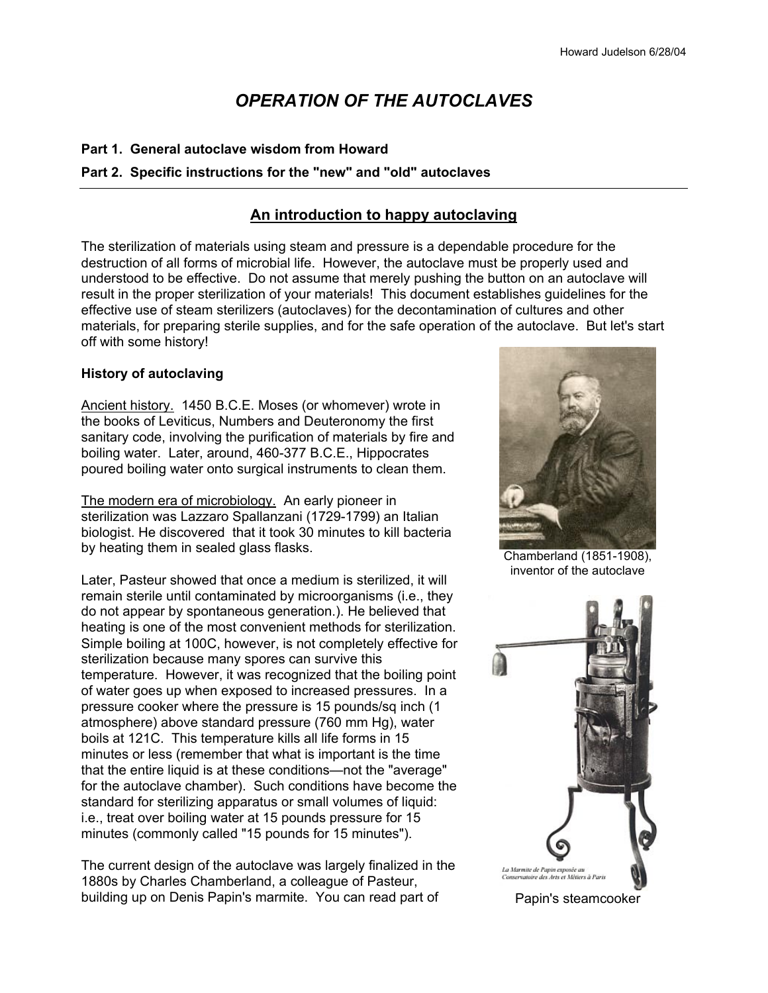# *OPERATION OF THE AUTOCLAVES*

### **Part 1. General autoclave wisdom from Howard**

### **Part 2. Specific instructions for the "new" and "old" autoclaves**

### **An introduction to happy autoclaving**

The sterilization of materials using steam and pressure is a dependable procedure for the destruction of all forms of microbial life. However, the autoclave must be properly used and understood to be effective. Do not assume that merely pushing the button on an autoclave will result in the proper sterilization of your materials! This document establishes guidelines for the effective use of steam sterilizers (autoclaves) for the decontamination of cultures and other materials, for preparing sterile supplies, and for the safe operation of the autoclave. But let's start off with some history!

#### **History of autoclaving**

Ancient history.1450 B.C.E. Moses (or whomever) wrote in the books of Leviticus, Numbers and Deuteronomy the first sanitary code, involving the purification of materials by fire and boiling water. Later, around, 460-377 B.C.E., Hippocrates poured boiling water onto surgical instruments to clean them.

The modern era of microbiology. An early pioneer in sterilization was Lazzaro Spallanzani (1729-1799) an Italian biologist. He discovered that it took 30 minutes to kill bacteria by heating them in sealed glass flasks.

Later, Pasteur showed that once a medium is sterilized, it will remain sterile until contaminated by microorganisms (i.e., they do not appear by spontaneous generation.). He believed that heating is one of the most convenient methods for sterilization. Simple boiling at 100C, however, is not completely effective for sterilization because many spores can survive this temperature. However, it was recognized that the boiling point of water goes up when exposed to increased pressures. In a pressure cooker where the pressure is 15 pounds/sq inch (1 atmosphere) above standard pressure (760 mm Hg), water boils at 121C. This temperature kills all life forms in 15 minutes or less (remember that what is important is the time that the entire liquid is at these conditions—not the "average" for the autoclave chamber). Such conditions have become the standard for sterilizing apparatus or small volumes of liquid: i.e., treat over boiling water at 15 pounds pressure for 15 minutes (commonly called "15 pounds for 15 minutes").

The current design of the autoclave was largely finalized in the 1880s by Charles Chamberland, a colleague of Pasteur, building up on Denis Papin's marmite. You can read part of



Chamberland (1851-1908), inventor of the autoclave



Papin's steamcooker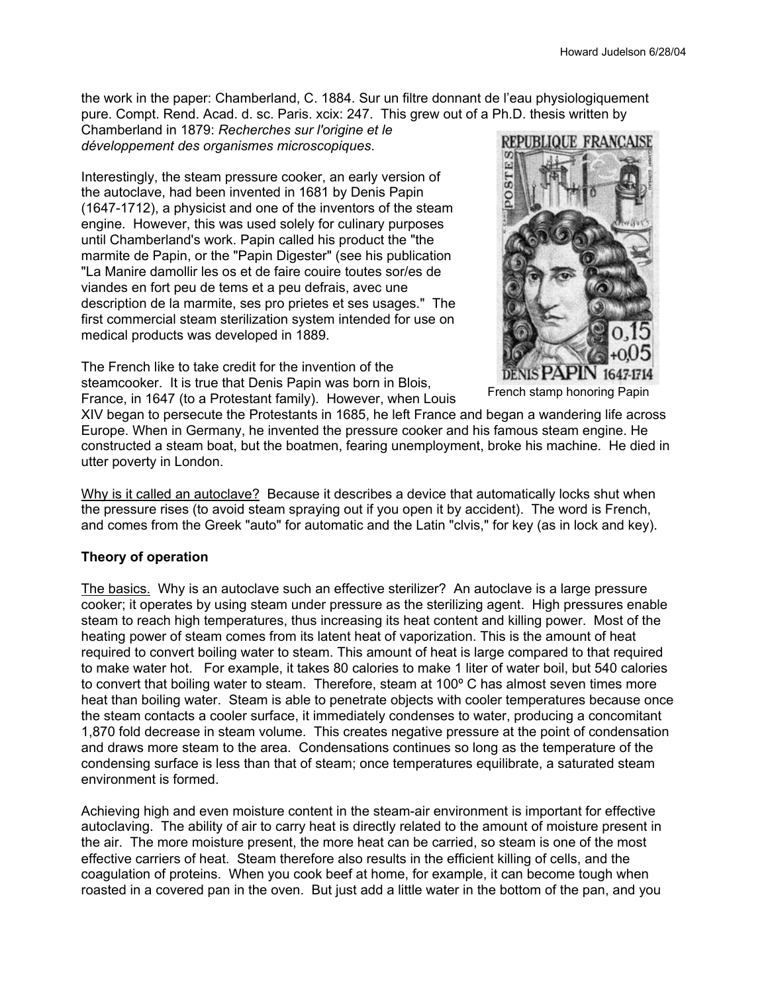the work in the paper: Chamberland, C. 1884. Sur un filtre donnant de l'eau physiologiquement pure. Compt. Rend. Acad. d. sc. Paris. xcix: 247. This grew out of a Ph.D. thesis written by

Chamberland in 1879: *Recherches sur l'origine et le développement des organismes microscopiques*.

Interestingly, the steam pressure cooker, an early version of the autoclave, had been invented in 1681 by Denis Papin (1647-1712), a physicist and one of the inventors of the steam engine. However, this was used solely for culinary purposes until Chamberland's work. Papin called his product the "the marmite de Papin, or the "Papin Digester" (see his publication "La Manire damollir les os et de faire couire toutes sor/es de viandes en fort peu de tems et a peu defrais, avec une description de la marmite, ses pro prietes et ses usages." The first commercial steam sterilization system intended for use on medical products was developed in 1889.

The French like to take credit for the invention of the steamcooker. It is true that Denis Papin was born in Blois, France, in 1647 (to a Protestant family). However, when Louis



French stamp honoring Papin

XIV began to persecute the Protestants in 1685, he left France and began a wandering life across Europe. When in Germany, he invented the pressure cooker and his famous steam engine. He constructed a steam boat, but the boatmen, fearing unemployment, broke his machine. He died in utter poverty in London.

Why is it called an autoclave? Because it describes a device that automatically locks shut when the pressure rises (to avoid steam spraying out if you open it by accident). The word is French, and comes from the Greek "auto" for automatic and the Latin "clvis," for key (as in lock and key).

### **Theory of operation**

The basics. Why is an autoclave such an effective sterilizer? An autoclave is a large pressure cooker; it operates by using steam under pressure as the sterilizing agent. High pressures enable steam to reach high temperatures, thus increasing its heat content and killing power. Most of the heating power of steam comes from its latent heat of vaporization. This is the amount of heat required to convert boiling water to steam. This amount of heat is large compared to that required to make water hot. For example, it takes 80 calories to make 1 liter of water boil, but 540 calories to convert that boiling water to steam. Therefore, steam at 100° C has almost seven times more heat than boiling water. Steam is able to penetrate objects with cooler temperatures because once the steam contacts a cooler surface, it immediately condenses to water, producing a concomitant 1,870 fold decrease in steam volume. This creates negative pressure at the point of condensation and draws more steam to the area. Condensations continues so long as the temperature of the condensing surface is less than that of steam; once temperatures equilibrate, a saturated steam environment is formed.

Achieving high and even moisture content in the steam-air environment is important for effective autoclaving. The ability of air to carry heat is directly related to the amount of moisture present in the air. The more moisture present, the more heat can be carried, so steam is one of the most effective carriers of heat. Steam therefore also results in the efficient killing of cells, and the coagulation of proteins. When you cook beef at home, for example, it can become tough when roasted in a covered pan in the oven. But just add a little water in the bottom of the pan, and you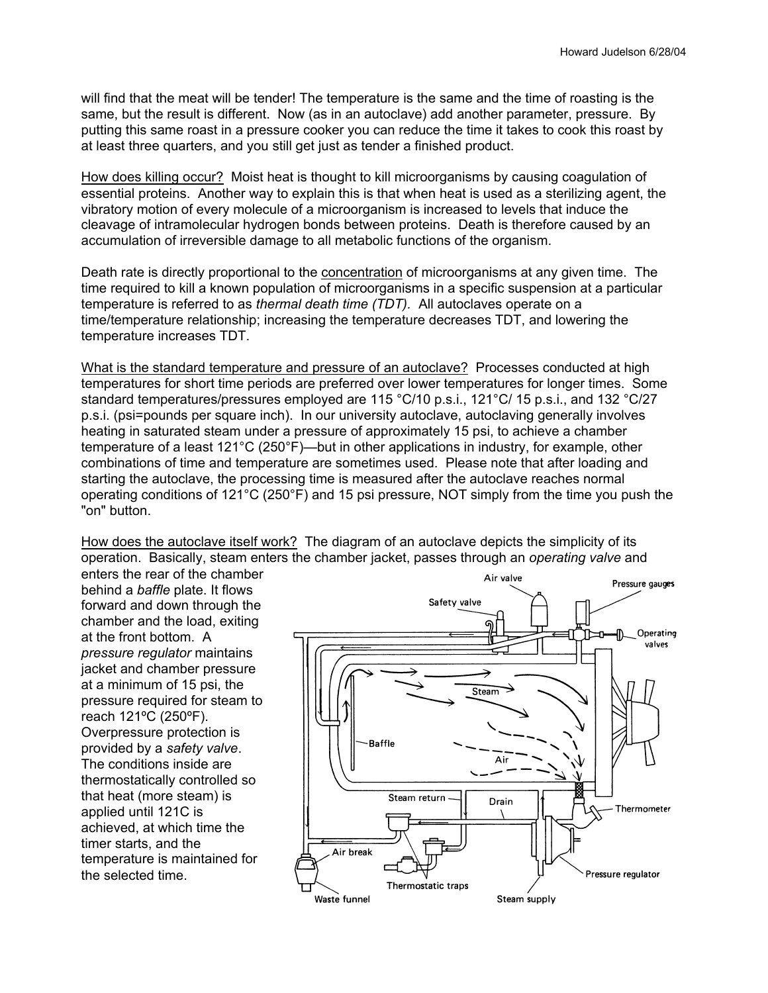will find that the meat will be tender! The temperature is the same and the time of roasting is the same, but the result is different. Now (as in an autoclave) add another parameter, pressure. By putting this same roast in a pressure cooker you can reduce the time it takes to cook this roast by at least three quarters, and you still get just as tender a finished product.

How does killing occur? Moist heat is thought to kill microorganisms by causing coagulation of essential proteins. Another way to explain this is that when heat is used as a sterilizing agent, the vibratory motion of every molecule of a microorganism is increased to levels that induce the cleavage of intramolecular hydrogen bonds between proteins. Death is therefore caused by an accumulation of irreversible damage to all metabolic functions of the organism.

Death rate is directly proportional to the concentration of microorganisms at any given time. The time required to kill a known population of microorganisms in a specific suspension at a particular temperature is referred to as *thermal death time (TDT).* All autoclaves operate on a time/temperature relationship; increasing the temperature decreases TDT, and lowering the temperature increases TDT.

What is the standard temperature and pressure of an autoclave? Processes conducted at high temperatures for short time periods are preferred over lower temperatures for longer times. Some standard temperatures/pressures employed are 115 °C/10 p.s.i., 121°C/ 15 p.s.i., and 132 °C/27 p.s.i. (psi=pounds per square inch). In our university autoclave, autoclaving generally involves heating in saturated steam under a pressure of approximately 15 psi, to achieve a chamber temperature of a least 121°C (250°F)—but in other applications in industry, for example, other combinations of time and temperature are sometimes used. Please note that after loading and starting the autoclave, the processing time is measured after the autoclave reaches normal operating conditions of 121°C (250°F) and 15 psi pressure, NOT simply from the time you push the "on" button.

How does the autoclave itself work? The diagram of an autoclave depicts the simplicity of its operation. Basically, steam enters the chamber jacket, passes through an *operating valve* and

enters the rear of the chamber behind a *baffle* plate. It flows forward and down through the chamber and the load, exiting at the front bottom. A *pressure regulator* maintains jacket and chamber pressure at a minimum of 15 psi, the pressure required for steam to reach 121ºC (250ºF). Overpressure protection is provided by a *safety valve*. The conditions inside are thermostatically controlled so that heat (more steam) is applied until 121C is achieved, at which time the timer starts, and the temperature is maintained for the selected time.

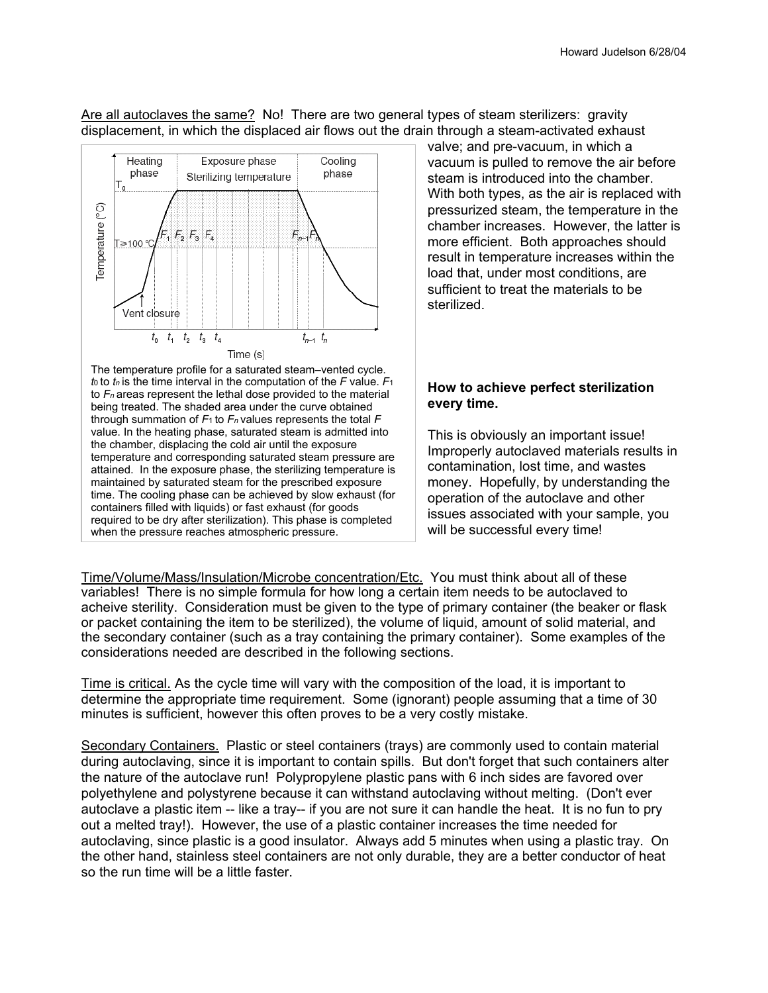Are all autoclaves the same? No! There are two general types of steam sterilizers: gravity displacement, in which the displaced air flows out the drain through a steam-activated exhaust



The temperature profile for a saturated steam–vented cycle. *t*0 to *tn* is the time interval in the computation of the *F* value. *F*<sup>1</sup> to *Fn* areas represent the lethal dose provided to the material being treated. The shaded area under the curve obtained through summation of *F*1 to *Fn* values represents the total *F* value. In the heating phase, saturated steam is admitted into the chamber, displacing the cold air until the exposure temperature and corresponding saturated steam pressure are attained. In the exposure phase, the sterilizing temperature is maintained by saturated steam for the prescribed exposure time. The cooling phase can be achieved by slow exhaust (for containers filled with liquids) or fast exhaust (for goods required to be dry after sterilization). This phase is completed when the pressure reaches atmospheric pressure.

valve; and pre-vacuum, in which a vacuum is pulled to remove the air before steam is introduced into the chamber. With both types, as the air is replaced with pressurized steam, the temperature in the chamber increases. However, the latter is more efficient. Both approaches should result in temperature increases within the load that, under most conditions, are sufficient to treat the materials to be sterilized.

### **How to achieve perfect sterilization every time.**

This is obviously an important issue! Improperly autoclaved materials results in contamination, lost time, and wastes money. Hopefully, by understanding the operation of the autoclave and other issues associated with your sample, you will be successful every time!

Time/Volume/Mass/Insulation/Microbe concentration/Etc. You must think about all of these variables! There is no simple formula for how long a certain item needs to be autoclaved to acheive sterility. Consideration must be given to the type of primary container (the beaker or flask or packet containing the item to be sterilized), the volume of liquid, amount of solid material, and the secondary container (such as a tray containing the primary container). Some examples of the considerations needed are described in the following sections.

Time is critical. As the cycle time will vary with the composition of the load, it is important to determine the appropriate time requirement. Some (ignorant) people assuming that a time of 30 minutes is sufficient, however this often proves to be a very costly mistake.

Secondary Containers. Plastic or steel containers (trays) are commonly used to contain material during autoclaving, since it is important to contain spills. But don't forget that such containers alter the nature of the autoclave run! Polypropylene plastic pans with 6 inch sides are favored over polyethylene and polystyrene because it can withstand autoclaving without melting. (Don't ever autoclave a plastic item -- like a tray-- if you are not sure it can handle the heat. It is no fun to pry out a melted tray!). However, the use of a plastic container increases the time needed for autoclaving, since plastic is a good insulator. Always add 5 minutes when using a plastic tray. On the other hand, stainless steel containers are not only durable, they are a better conductor of heat so the run time will be a little faster.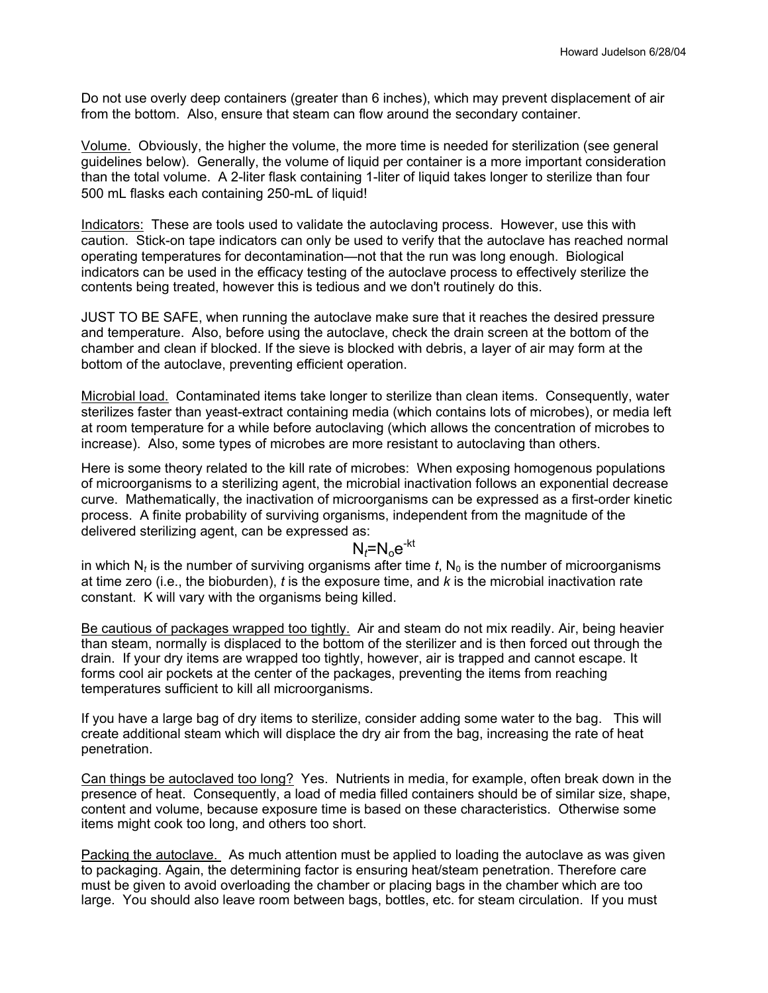Do not use overly deep containers (greater than 6 inches), which may prevent displacement of air from the bottom. Also, ensure that steam can flow around the secondary container.

Volume. Obviously, the higher the volume, the more time is needed for sterilization (see general guidelines below). Generally, the volume of liquid per container is a more important consideration than the total volume. A 2-liter flask containing 1-liter of liquid takes longer to sterilize than four 500 mL flasks each containing 250-mL of liquid!

Indicators: These are tools used to validate the autoclaving process. However, use this with caution. Stick-on tape indicators can only be used to verify that the autoclave has reached normal operating temperatures for decontamination—not that the run was long enough. Biological indicators can be used in the efficacy testing of the autoclave process to effectively sterilize the contents being treated, however this is tedious and we don't routinely do this.

JUST TO BE SAFE, when running the autoclave make sure that it reaches the desired pressure and temperature. Also, before using the autoclave, check the drain screen at the bottom of the chamber and clean if blocked. If the sieve is blocked with debris, a layer of air may form at the bottom of the autoclave, preventing efficient operation.

Microbial load. Contaminated items take longer to sterilize than clean items. Consequently, water sterilizes faster than yeast-extract containing media (which contains lots of microbes), or media left at room temperature for a while before autoclaving (which allows the concentration of microbes to increase). Also, some types of microbes are more resistant to autoclaving than others.

Here is some theory related to the kill rate of microbes: When exposing homogenous populations of microorganisms to a sterilizing agent, the microbial inactivation follows an exponential decrease curve. Mathematically, the inactivation of microorganisms can be expressed as a first-order kinetic process. A finite probability of surviving organisms, independent from the magnitude of the delivered sterilizing agent, can be expressed as:

$$
N_t = N_0 e^{-kt}
$$

in which  $N_t$  is the number of surviving organisms after time  $t$ ,  $N_0$  is the number of microorganisms at time zero (i.e., the bioburden), *t* is the exposure time, and *k* is the microbial inactivation rate constant. K will vary with the organisms being killed.

Be cautious of packages wrapped too tightly. Air and steam do not mix readily. Air, being heavier than steam, normally is displaced to the bottom of the sterilizer and is then forced out through the drain. If your dry items are wrapped too tightly, however, air is trapped and cannot escape. It forms cool air pockets at the center of the packages, preventing the items from reaching temperatures sufficient to kill all microorganisms.

If you have a large bag of dry items to sterilize, consider adding some water to the bag. This will create additional steam which will displace the dry air from the bag, increasing the rate of heat penetration.

Can things be autoclaved too long? Yes. Nutrients in media, for example, often break down in the presence of heat. Consequently, a load of media filled containers should be of similar size, shape, content and volume, because exposure time is based on these characteristics. Otherwise some items might cook too long, and others too short.

Packing the autoclave. As much attention must be applied to loading the autoclave as was given to packaging. Again, the determining factor is ensuring heat/steam penetration. Therefore care must be given to avoid overloading the chamber or placing bags in the chamber which are too large. You should also leave room between bags, bottles, etc. for steam circulation. If you must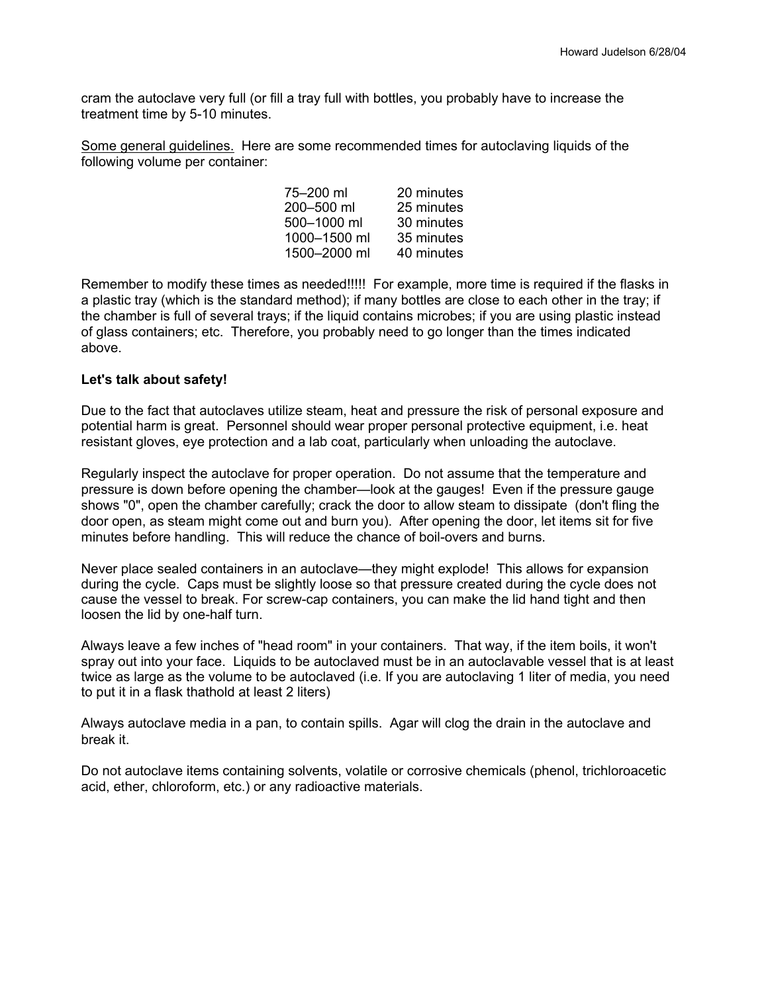cram the autoclave very full (or fill a tray full with bottles, you probably have to increase the treatment time by 5-10 minutes.

Some general guidelines. Here are some recommended times for autoclaving liquids of the following volume per container:

| 75-200 ml    | 20 minutes |
|--------------|------------|
| 200-500 ml   | 25 minutes |
| 500-1000 ml  | 30 minutes |
| 1000-1500 ml | 35 minutes |
| 1500-2000 ml | 40 minutes |

Remember to modify these times as needed!!!!! For example, more time is required if the flasks in a plastic tray (which is the standard method); if many bottles are close to each other in the tray; if the chamber is full of several trays; if the liquid contains microbes; if you are using plastic instead of glass containers; etc. Therefore, you probably need to go longer than the times indicated above.

#### **Let's talk about safety!**

Due to the fact that autoclaves utilize steam, heat and pressure the risk of personal exposure and potential harm is great. Personnel should wear proper personal protective equipment, i.e. heat resistant gloves, eye protection and a lab coat, particularly when unloading the autoclave.

Regularly inspect the autoclave for proper operation. Do not assume that the temperature and pressure is down before opening the chamber—look at the gauges! Even if the pressure gauge shows "0", open the chamber carefully; crack the door to allow steam to dissipate (don't fling the door open, as steam might come out and burn you). After opening the door, let items sit for five minutes before handling. This will reduce the chance of boil-overs and burns.

Never place sealed containers in an autoclave—they might explode! This allows for expansion during the cycle. Caps must be slightly loose so that pressure created during the cycle does not cause the vessel to break. For screw-cap containers, you can make the lid hand tight and then loosen the lid by one-half turn.

Always leave a few inches of "head room" in your containers. That way, if the item boils, it won't spray out into your face. Liquids to be autoclaved must be in an autoclavable vessel that is at least twice as large as the volume to be autoclaved (i.e. If you are autoclaving 1 liter of media, you need to put it in a flask thathold at least 2 liters)

Always autoclave media in a pan, to contain spills. Agar will clog the drain in the autoclave and break it.

Do not autoclave items containing solvents, volatile or corrosive chemicals (phenol, trichloroacetic acid, ether, chloroform, etc.) or any radioactive materials.